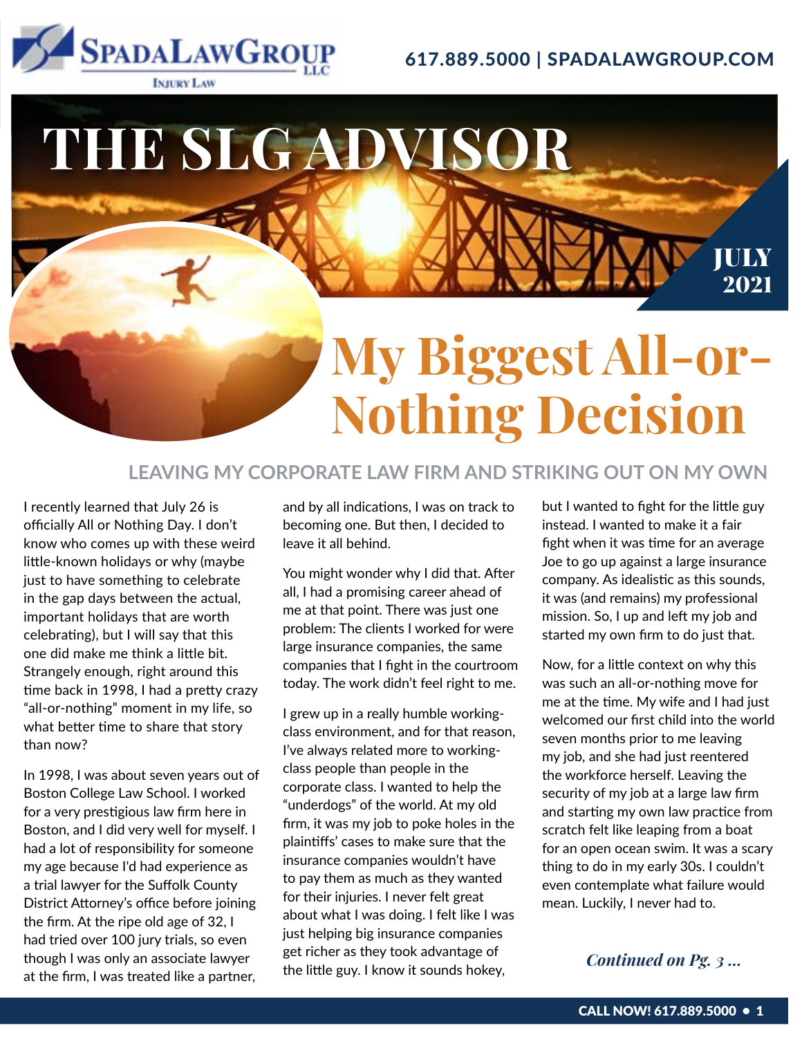

617.889.5000 | SPADALAWGROUP.COM

## **My Biggest All-or-Nothing Decision THE SLG ADVISOR** JULY 2021

#### **LEAVING MY CORPORATE LAW FIRM AND STRIKING OUT ON MY OWN**

I recently learned that July 26 is officially All or Nothing Day. I don't know who comes up with these weird little-known holidays or why (maybe just to have something to celebrate in the gap days between the actual, important holidays that are worth celebrating), but I will say that this one did make me think a little bit. Strangely enough, right around this time back in 1998, I had a pretty crazy "all-or-nothing" moment in my life, so what better time to share that story than now?

In 1998, I was about seven years out of Boston College Law School. I worked for a very prestigious law firm here in Boston, and I did very well for myself. I had a lot of responsibility for someone my age because I'd had experience as a trial lawyer for the Suffolk County District Attorney's office before joining the firm. At the ripe old age of 32, I had tried over 100 jury trials, so even though I was only an associate lawyer at the firm, I was treated like a partner,

and by all indications, I was on track to becoming one. But then, I decided to leave it all behind.

You might wonder why I did that. After all, I had a promising career ahead of me at that point. There was just one problem: The clients I worked for were large insurance companies, the same companies that I fight in the courtroom today. The work didn't feel right to me.

I grew up in a really humble workingclass environment, and for that reason, I've always related more to workingclass people than people in the corporate class. I wanted to help the "underdogs" of the world. At my old firm, it was my job to poke holes in the plaintiffs' cases to make sure that the insurance companies wouldn't have to pay them as much as they wanted for their injuries. I never felt great about what I was doing. I felt like I was just helping big insurance companies get richer as they took advantage of the little guy. I know it sounds hokey,

but I wanted to fight for the little guy instead. I wanted to make it a fair fight when it was time for an average Joe to go up against a large insurance company. As idealistic as this sounds, it was (and remains) my professional mission. So, I up and left my job and started my own firm to do just that.

Now, for a little context on why this was such an all-or-nothing move for me at the time. My wife and I had just welcomed our first child into the world seven months prior to me leaving my job, and she had just reentered the workforce herself. Leaving the security of my job at a large law firm and starting my own law practice from scratch felt like leaping from a boat for an open ocean swim. It was a scary thing to do in my early 30s. I couldn't even contemplate what failure would mean. Luckily, I never had to.

#### *Continued on Pg. 3 ...*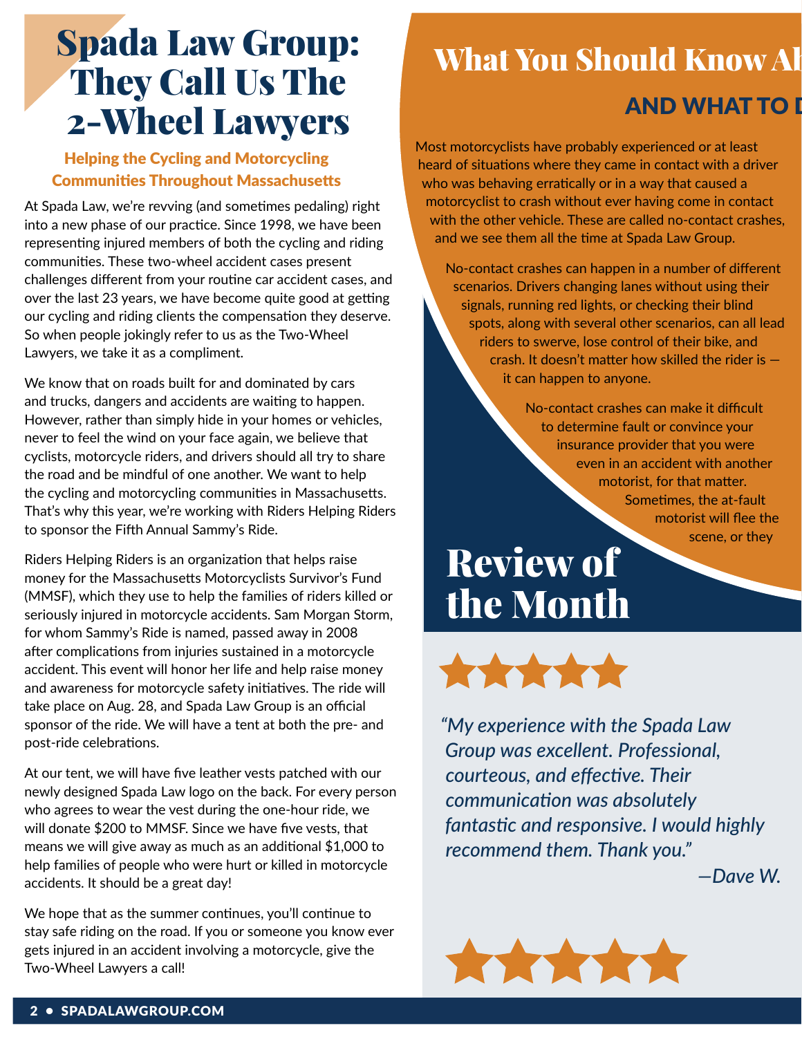## Spada Law Group: They Call Us The 2-Wheel Lawyers

#### Helping the Cycling and Motorcycling Communities Throughout Massachusetts

At Spada Law, we're revving (and sometimes pedaling) right into a new phase of our practice. Since 1998, we have been representing injured members of both the cycling and riding communities. These two-wheel accident cases present challenges different from your routine car accident cases, and over the last 23 years, we have become quite good at getting our cycling and riding clients the compensation they deserve. So when people jokingly refer to us as the Two-Wheel Lawyers, we take it as a compliment.

We know that on roads built for and dominated by cars and trucks, dangers and accidents are waiting to happen. However, rather than simply hide in your homes or vehicles, never to feel the wind on your face again, we believe that cyclists, motorcycle riders, and drivers should all try to share the road and be mindful of one another. We want to help the cycling and motorcycling communities in Massachusetts. That's why this year, we're working with Riders Helping Riders to sponsor the Fifth Annual Sammy's Ride.

Riders Helping Riders is an organization that helps raise money for the Massachusetts Motorcyclists Survivor's Fund (MMSF), which they use to help the families of riders killed or seriously injured in motorcycle accidents. Sam Morgan Storm, for whom Sammy's Ride is named, passed away in 2008 after complications from injuries sustained in a motorcycle accident. This event will honor her life and help raise money and awareness for motorcycle safety initiatives. The ride will take place on Aug. 28, and Spada Law Group is an official sponsor of the ride. We will have a tent at both the pre- and post-ride celebrations.

At our tent, we will have five leather vests patched with our newly designed Spada Law logo on the back. For every person who agrees to wear the vest during the one-hour ride, we will donate \$200 to MMSF. Since we have five vests, that means we will give away as much as an additional \$1,000 to help families of people who were hurt or killed in motorcycle accidents. It should be a great day!

We hope that as the summer continues, you'll continue to stay safe riding on the road. If you or someone you know ever gets injured in an accident involving a motorcycle, give the Two-Wheel Lawyers a call!

## What You Should Know Al

### **AND WHAT TO I**

Most motorcyclists have probably experienced or at least heard of situations where they came in contact with a driver who was behaving erratically or in a way that caused a motorcyclist to crash without ever having come in contact with the other vehicle. These are called no-contact crashes, and we see them all the time at Spada Law Group.

No-contact crashes can happen in a number of different scenarios. Drivers changing lanes without using their signals, running red lights, or checking their blind spots, along with several other scenarios, can all lead riders to swerve, lose control of their bike, and crash. It doesn't matter how skilled the rider is it can happen to anyone.

> No-contact crashes can make it difficult to determine fault or convince your insurance provider that you were even in an accident with another motorist, for that matter. Sometimes, the at-fault motorist will flee the scene, or they

## Review of the Month



*"My experience with the Spada Law Group was excellent. Professional, courteous, and effective. Their communication was absolutely fantastic and responsive. I would highly recommend them. Thank you."*

*—Dave W.*

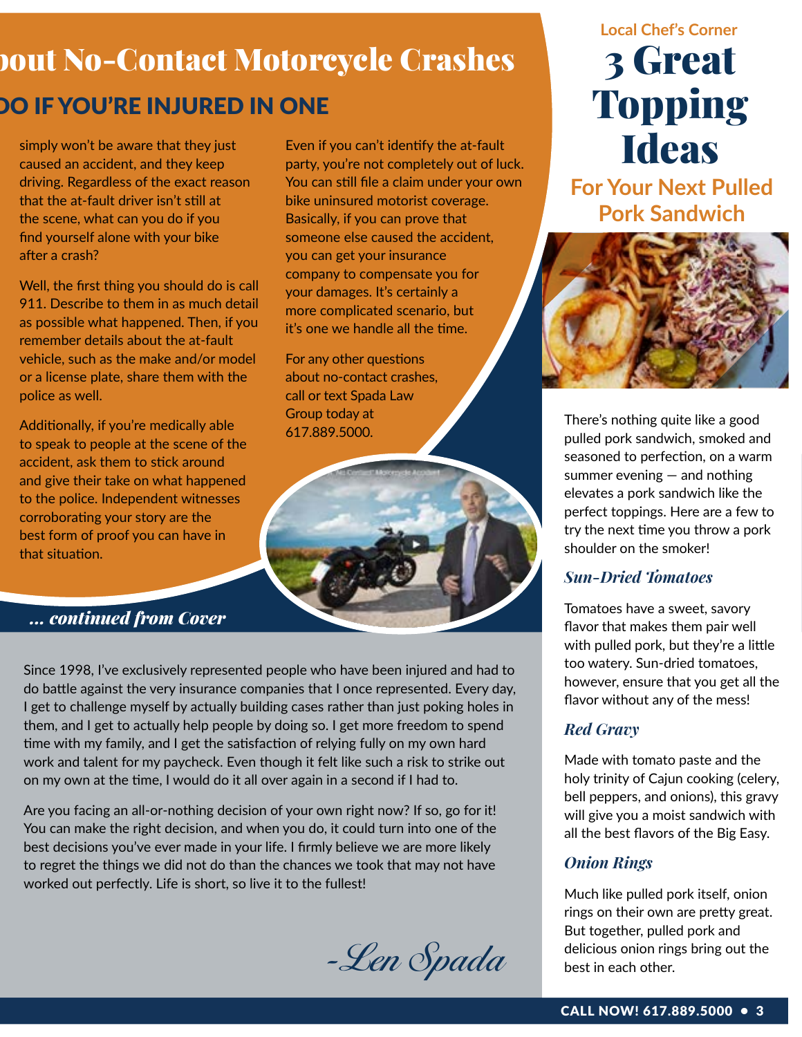## **Dout No-Contact Motorcycle Crashes DO IF YOU'RE INJURED IN ONE**

Even if you can't identify the at-fault party, you're not completely out of luck. You can still file a claim under your own bike uninsured motorist coverage. Basically, if you can prove that someone else caused the accident,

you can get your insurance company to compensate you for your damages. It's certainly a more complicated scenario, but it's one we handle all the time.

For any other questions about no-contact crashes, call or text Spada Law

Group today at 617.889.5000.

simply won't be aware that they just caused an accident, and they keep driving. Regardless of the exact reason that the at-fault driver isn't still at the scene, what can you do if you find yourself alone with your bike after a crash?

Well, the first thing you should do is call 911. Describe to them in as much detail as possible what happened. Then, if you remember details about the at-fault vehicle, such as the make and/or model or a license plate, share them with the police as well.

Additionally, if you're medically able to speak to people at the scene of the accident, ask them to stick around and give their take on what happened to the police. Independent witnesses corroborating your story are the best form of proof you can have in that situation.

*... continued from Cover*

Since 1998, I've exclusively represented people who have been injured and had to do battle against the very insurance companies that I once represented. Every day, I get to challenge myself by actually building cases rather than just poking holes in them, and I get to actually help people by doing so. I get more freedom to spend time with my family, and I get the satisfaction of relying fully on my own hard work and talent for my paycheck. Even though it felt like such a risk to strike out on my own at the time, I would do it all over again in a second if I had to.

Are you facing an all-or-nothing decision of your own right now? If so, go for it! You can make the right decision, and when you do, it could turn into one of the best decisions you've ever made in your life. I firmly believe we are more likely to regret the things we did not do than the chances we took that may not have worked out perfectly. Life is short, so live it to the fullest!

-Len Spada

## 3 Great Topping **Ideas Local Chef's Corner**

**For Your Next Pulled Pork Sandwich**



There's nothing quite like a good pulled pork sandwich, smoked and seasoned to perfection, on a warm summer evening — and nothing elevates a pork sandwich like the perfect toppings. Here are a few to try the next time you throw a pork shoulder on the smoker!

#### *Sun-Dried Tomatoes*

Tomatoes have a sweet, savory flavor that makes them pair well with pulled pork, but they're a little too watery. Sun-dried tomatoes, however, ensure that you get all the flavor without any of the mess!

#### *Red Gravy*

Made with tomato paste and the holy trinity of Cajun cooking (celery, bell peppers, and onions), this gravy will give you a moist sandwich with all the best flavors of the Big Easy.

#### *Onion Rings*

Much like pulled pork itself, onion rings on their own are pretty great. But together, pulled pork and delicious onion rings bring out the best in each other.